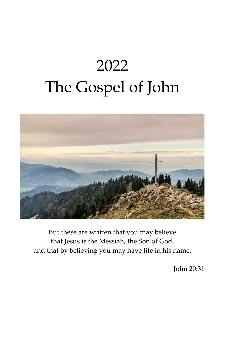# 2022 The Gospel of John



But these are written that you may believe that Jesus is the Messiah, the Son of God, and that by believing you may have life in his name.

John 20:31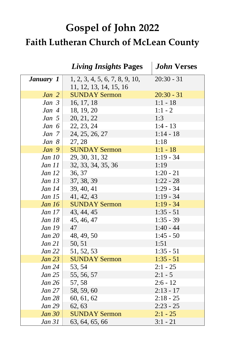## **Gospel of John 2022 Faith Lutheran Church of McLean County**

|                  | <b>Living Insights Pages</b>                             | <b>John Verses</b> |
|------------------|----------------------------------------------------------|--------------------|
| <b>January</b> 1 | 1, 2, 3, 4, 5, 6, 7, 8, 9, 10,<br>11, 12, 13, 14, 15, 16 | $20:30 - 31$       |
| Jan <sub>2</sub> | <b>SUNDAY Sermon</b>                                     | $20:30 - 31$       |
| Jan $3$          | 16, 17, 18                                               | $1:1 - 18$         |
| Jan 4            | 18, 19, 20                                               | $1:1 - 2$          |
| Jan <sub>5</sub> | 20, 21, 22                                               | 1:3                |
| Jan $6$          | 22, 23, 24                                               | $1:4 - 13$         |
| Jan 7            | 24, 25, 26, 27                                           | $1:14 - 18$        |
| Jan $8$          | 27, 28                                                   | 1:18               |
| Jan 9            | <b>SUNDAY Sermon</b>                                     | $1:1 - 18$         |
| Jan 10           | 29, 30, 31, 32                                           | $1:19 - 34$        |
| <i>Jan 11</i>    | 32, 33, 34, 35, 36                                       | 1:19               |
| Jan 12           | 36, 37                                                   | $1:20 - 21$        |
| Jan 13           | 37, 38, 39                                               | $1:22 - 28$        |
| <i>Jan 14</i>    | 39, 40, 41                                               | $1:29 - 34$        |
| <i>Jan 15</i>    | 41, 42, 43                                               | $1:19 - 34$        |
| Jan $16$         | <b>SUNDAY Sermon</b>                                     | $1:19 - 34$        |
| <i>Jan 17</i>    | 43, 44, 45                                               | $1:35 - 51$        |
| Jan 18           | 45, 46, 47                                               | $1:35 - 39$        |
| Jan 19           | 47                                                       | $1:40 - 44$        |
| <b>Jan 20</b>    | 48, 49, 50                                               | $1:45 - 50$        |
| Jan 21           | 50, 51                                                   | 1:51               |
| Jan 22           | 51, 52, 53                                               | $1:35 - 51$        |
| Jan 23           | <b>SUNDAY Sermon</b>                                     | $1:35 - 51$        |
| <i>Jan</i> 24    | 53, 54                                                   | $2:1 - 25$         |
| Jan 25           | 55, 56, 57                                               | $2:1 - 5$          |
| Jan 26           | 57,58                                                    | $2:6 - 12$         |
| <i>Jan</i> 27    | 58, 59, 60                                               | $2:13 - 17$        |
| <i>Jan</i> 28    | 60, 61, 62                                               | $2:18 - 25$        |
| <b>Jan 29</b>    | 62, 63                                                   | $2:23 - 25$        |
| Jan 30           | <b>SUNDAY Sermon</b>                                     | $2:1 - 25$         |
| <i>Jan 31</i>    | 63, 64, 65, 66                                           | $3:1 - 21$         |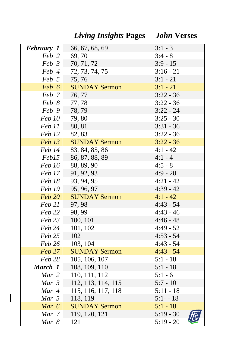|                  | <b>Living Insights Pages</b> | <b>John Verses</b> |
|------------------|------------------------------|--------------------|
| February 1       | 66, 67, 68, 69               | $3:1 - 3$          |
| Feb 2            | 69,70                        | $3:4 - 8$          |
| $Feb \; 3 \;  $  | 70, 71, 72                   | $3:9 - 15$         |
| Feb 4            | 72, 73, 74, 75               | $3:16 - 21$        |
| Feb 5            | 75,76                        | $3:1 - 21$         |
| Feb 6            | <b>SUNDAY Sermon</b>         | $3:1 - 21$         |
| Feb 7            | 76, 77                       | $3:22 - 36$        |
| Feb 8            | 77,78                        | $3:22 - 36$        |
| Feb 9            | 78,79                        | $3:22 - 24$        |
| Feb 10           | 79,80                        | $3:25 - 30$        |
| Feb 11           | 80, 81                       | $3:31 - 36$        |
| Feb 12           | 82, 83                       | $3:22 - 36$        |
| Feb 13           | <b>SUNDAY Sermon</b>         | $3:22 - 36$        |
| Feb 14           | 83, 84, 85, 86               | $4:1 - 42$         |
| Feb15            | 86, 87, 88, 89               | $4:1 - 4$          |
| Feb 16           | 88, 89, 90                   | $4:5 - 8$          |
| Feb 17           | 91, 92, 93                   | $4:9 - 20$         |
| Feb 18           | 93, 94, 95                   | $4:21 - 42$        |
| Feb 19           | 95, 96, 97                   | $4:39 - 42$        |
| <b>Feb 20</b>    | <b>SUNDAY Sermon</b>         | $4:1 - 42$         |
| Feb 21           | 97, 98                       | $4:43 - 54$        |
| Feb 22           | 98, 99                       | $4:43 - 46$        |
| Feb 23           | 100, 101                     | $4:46 - 48$        |
| Feb 24           | 101, 102                     | $4:49 - 52$        |
| Feb 25           | 102                          | $4:53 - 54$        |
| Feb 26           | 103, 104                     | $4:43 - 54$        |
| Feb 27           | <b>SUNDAY Sermon</b>         | $4:43 - 54$        |
| Feb 28           | 105, 106, 107                | $5:1 - 18$         |
| March 1          | 108, 109, 110                | $5:1 - 18$         |
| Mar 2            | 110, 111, 112                | $5:1 - 6$          |
| Mar <sub>3</sub> | 112, 113, 114, 115           | $5:7 - 10$         |
| Mar 4            | 115, 116, 117, 118           | $5:11 - 18$        |
| Mar 5            | 118, 119                     | $5:1 - 18$         |
| Mar 6            | <b>SUNDAY Sermon</b>         | $5:1 - 18$         |
| Mar 7            | 119, 120, 121                | $5:19 - 30$        |
| Mar 8            | 121                          | $5:19 - 20$        |

 $\Big|$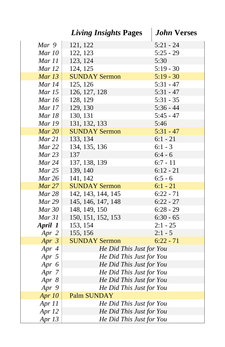|                             | <b>Living Insights Pages</b>                         | <b>John Verses</b> |
|-----------------------------|------------------------------------------------------|--------------------|
| Mar 9                       | 121, 122                                             | $5:21 - 24$        |
| Mar 10                      | 122, 123                                             | $5:25 - 29$        |
| Mar 11                      | 123, 124                                             | 5:30               |
| Mar 12                      | 124, 125                                             | $5:19 - 30$        |
| Mar $13$                    | <b>SUNDAY Sermon</b>                                 | $5:19 - 30$        |
| Mar 14                      | 125, 126                                             | $5:31 - 47$        |
| Mar 15                      | 126, 127, 128                                        | $5:31 - 47$        |
| Mar 16                      | 128, 129                                             | $5:31 - 35$        |
| Mar 17                      | 129, 130                                             | $5:36 - 44$        |
| Mar 18                      | 130, 131                                             | $5:45 - 47$        |
| <b>Mar 19</b>               | 131, 132, 133                                        | 5:46               |
| Mar 20                      | <b>SUNDAY Sermon</b>                                 | $5:31 - 47$        |
| Mar 21                      | 133, 134                                             | $6:1 - 21$         |
| Mar 22                      | 134, 135, 136                                        | $6:1 - 3$          |
| Mar 23                      | 137                                                  | $6:4 - 6$          |
| Mar 24                      | 137, 138, 139                                        | $6:7 - 11$         |
| Mar 25                      | 139, 140                                             | $6:12 - 21$        |
| Mar 26                      | 141, 142                                             | $6:5 - 6$          |
| Mar 27                      | <b>SUNDAY Sermon</b>                                 | $6:1 - 21$         |
| Mar 28                      | 142, 143, 144, 145                                   | $6:22 - 71$        |
| Mar 29                      | 145, 146, 147, 148                                   | $6:22 - 27$        |
| Mar 30                      | 148, 149, 150                                        | $6:28 - 29$        |
| Mar 31                      | 150, 151, 152, 153                                   | $6:30 - 65$        |
| April 1                     | 153, 154                                             | $2:1 - 25$         |
| Apr 2                       | 155, 156                                             | $2:1 - 5$          |
| Apr $3$                     | <b>SUNDAY Sermon</b>                                 | $6:22 - 71$        |
| Apr 4                       | He Did This Just for You                             |                    |
| Apr 5                       | He Did This Just for You                             |                    |
| Apr $6$                     | He Did This Just for You                             |                    |
| Apr 7                       | He Did This Just for You                             |                    |
| Apr $8$                     | He Did This Just for You                             |                    |
| Apr 9                       | He Did This Just for You                             |                    |
| Apr $10$                    | <b>Palm SUNDAY</b>                                   |                    |
| Apr 11                      | He Did This Just for You                             |                    |
| Apr 12<br>Apr <sub>13</sub> | He Did This Just for You<br>He Did This Just for You |                    |
|                             |                                                      |                    |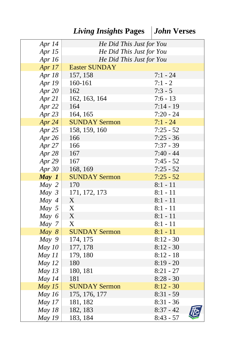| Apr 14        | He Did This Just for You  |             |
|---------------|---------------------------|-------------|
| Apr 15        | He Did This Just for You  |             |
| Apr 16        | He Did This Just for You  |             |
| Apr 17        | <b>Easter SUNDAY</b>      |             |
| Apr $18$      | 157, 158                  | $7:1 - 24$  |
| Apr 19        | 160-161                   | $7:1 - 2$   |
| Apr $20$      | 162                       | $7:3 - 5$   |
| Apr $21$      | 162, 163, 164             | $7:6 - 13$  |
| Apr 22        | 164                       | $7:14 - 19$ |
| Apr $23$      | 164, 165                  | $7:20 - 24$ |
| Apr $24$      | <b>SUNDAY Sermon</b>      | $7:1 - 24$  |
| Apr $25$      | 158, 159, 160             | $7:25 - 52$ |
| Apr 26        | 166                       | $7:25 - 36$ |
| Apr 27        | 166                       | $7:37 - 39$ |
| Apr 28        | 167                       | $7:40 - 44$ |
| Apr 29        | 167                       | $7:45 - 52$ |
| Apr $30$      | 168, 169                  | $7:25 - 52$ |
| May 1         | <b>SUNDAY Sermon</b>      | $7:25 - 52$ |
| $May\ 2$      | 170                       | $8:1 - 11$  |
| $May\ 3$      | 171, 172, 173             | $8:1 - 11$  |
| May 4         | X                         | $8:1 - 11$  |
| $May\ 5$      | X                         | $8:1 - 11$  |
| May $6$       | X                         | $8:1 - 11$  |
| May 7         | $\boldsymbol{\mathrm{X}}$ | $8:1 - 11$  |
| May 8         | <b>SUNDAY Sermon</b>      | $8:1 - 11$  |
| $May\ 9$      | 174, 175                  | $8:12 - 30$ |
| May 10        | 177, 178                  | $8:12 - 30$ |
| May 11        | 179, 180                  | $8:12 - 18$ |
| May $12$      | 180                       | $8:19 - 20$ |
| May $13$      | 180, 181                  | $8:21 - 27$ |
| May $14$      | 181                       | $8:28 - 30$ |
| May $15$      | <b>SUNDAY Sermon</b>      | $8:12 - 30$ |
| May $16$      | 175, 176, 177             | $8:31 - 59$ |
| May $17$      | 181, 182                  | $8:31 - 36$ |
| May 18        | 182, 183                  | $8:37 - 42$ |
| <b>May 19</b> | 183, 184                  | $8:43 - 57$ |

*Living Insights* **Pages** *John* **Verses**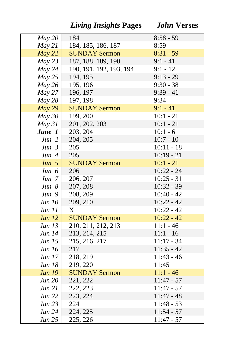|                  | <b>Living Insights Pages</b> | <b>John Verses</b>           |
|------------------|------------------------------|------------------------------|
| May 20           | 184                          | $8:58 - 59$                  |
| May 21           | 184, 185, 186, 187           | 8:59                         |
| May 22           | <b>SUNDAY Sermon</b>         | $8:31 - 59$                  |
| May 23           | 187, 188, 189, 190           | $9:1 - 41$                   |
| May 24           | 190, 191, 192, 193, 194      | $9:1 - 12$                   |
| May 25           | 194, 195                     | $9:13 - 29$                  |
| May 26           | 195, 196                     | $9:30 - 38$                  |
| May 27           | 196, 197                     | $9:39 - 41$                  |
| May 28           | 197, 198                     | 9:34                         |
| May 29           | <b>SUNDAY Sermon</b>         | $9:1 - 41$                   |
| $May\,30$        | 199, 200                     | $10:1 - 21$                  |
| $May\,31$        | 201, 202, 203                | $10:1 - 21$                  |
| June 1           | 203, 204                     | $10:1 - 6$                   |
| Jun 2            | 204, 205                     | $10:7 - 10$                  |
| Jun 3            | 205                          | $10:11 - 18$                 |
| Jun 4            | 205                          | $10:19 - 21$                 |
| Jun 5            | <b>SUNDAY Sermon</b>         | $10:1 - 21$                  |
| Jun $6$          | 206                          | $10:22 - 24$                 |
| Jun 7            | 206, 207                     | $10:25 - 31$                 |
| Jun 8            | 207, 208                     | $10:32 - 39$                 |
| Jun 9            | 208, 209                     | $10:40 - 42$                 |
| Jun 10           | 209, 210                     | $10:22 - 42$                 |
| Jun 11           | X                            | $10:22 - 42$                 |
| Jun 12           | <b>SUNDAY Sermon</b>         | $10:22 - 42$                 |
| Jun 13           | 210, 211, 212, 213           | $11:1 - 46$                  |
| Jun 14           | 213, 214, 215                | $11:1 - 16$                  |
| <i>Jun 15</i>    | 215, 216, 217                | $11:17 - 34$                 |
| Jun 16           | 217                          | $11:35 - 42$                 |
| <i>Jun 17</i>    | 218, 219                     | $11:43 - 46$                 |
| <b>Jun 18</b>    | 219, 220                     | 11:45                        |
| <b>Jun 19</b>    | <b>SUNDAY Sermon</b>         | $11:1 - 46$                  |
| Jun 20           | 221, 222                     | $11:47 - 57$                 |
| Jun 21           | 222, 223                     | $11:47 - 57$<br>$11:47 - 48$ |
| Jun 22<br>Jun 23 | 223, 224<br>224              | $11:48 - 53$                 |
| Jun 24           | 224, 225                     | $11:54 - 57$                 |
| <i>Jun 25</i>    | 225, 226                     | $11:47 - 57$                 |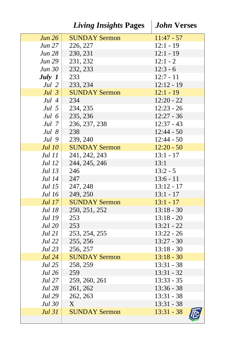|                | <i>Living Insights Pages</i> | <b>John Verses</b> |
|----------------|------------------------------|--------------------|
| Jun 26         | <b>SUNDAY Sermon</b>         | $11:47 - 57$       |
| Jun 27         | 226, 227                     | $12:1 - 19$        |
| Jun 28         | 230, 231                     | $12:1 - 19$        |
| Jun 29         | 231, 232                     | $12:1 - 2$         |
| Jun 30         | 232, 233                     | $12:3 - 6$         |
| July $1$       | 233                          | $12:7 - 11$        |
| Jul 2 $ $      | 233, 234                     | $12:12 - 19$       |
| Jul $3$        | <b>SUNDAY Sermon</b>         | $12:1 - 19$        |
| Jul 4          | 234                          | $12:20 - 22$       |
| Jul 5          | 234, 235                     | $12:23 - 26$       |
| Jul 6          | 235, 236                     | $12:27 - 36$       |
| Jul 7          | 236, 237, 238                | $12:37 - 43$       |
| Jul $8$        | 238                          | $12:44 - 50$       |
| Jul 9          | 239, 240                     | $12:44 - 50$       |
| Jul 10         | <b>SUNDAY Sermon</b>         | $12:20 - 50$       |
| Jul 11         | 241, 242, 243                | $13:1 - 17$        |
| Jul 12         | 244, 245, 246                | 13:1               |
| Jul 13         | 246                          | $13:2 - 5$         |
| Jul 14         | 247                          | $13:6 - 11$        |
| Jul 15         | 247, 248                     | $13:12 - 17$       |
| Jul 16         | 249, 250                     | $13:1 - 17$        |
| Jul 17         | <b>SUNDAY Sermon</b>         | $13:1 - 17$        |
| <b>Jul 18</b>  | 250, 251, 252                | $13:18 - 30$       |
| <b>Jul 19</b>  | 253                          | $13:18 - 20$       |
| Jul 20 $\vert$ | 253                          | $13:21 - 22$       |
| Jul 21         | 253, 254, 255                | $13:22 - 26$       |
| Jul 22         | 255, 256                     | $13:27 - 30$       |
| Jul 23         | 256, 257                     | $13:18 - 30$       |
| Jul 24         | <b>SUNDAY Sermon</b>         | $13:18 - 30$       |
| Jul 25         | 258, 259                     | $13:31 - 38$       |
| Jul 26         | 259                          | 13:31 - 32         |
| <b>Jul</b> 27  | 259, 260, 261                | $13:33 - 35$       |
| <b>Jul 28</b>  | 261, 262                     | $13:36 - 38$       |
| <b>Jul 29</b>  | 262, 263                     | $13:31 - 38$       |
| <b>Jul 30</b>  | X.                           | $13:31 - 38$       |
| <b>Jul 31</b>  | <b>SUNDAY Sermon</b>         | $13:31 - 38$       |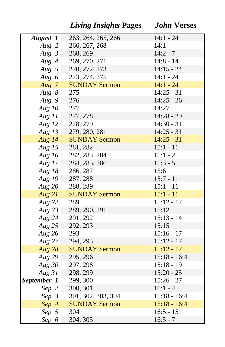|                 | <b>Living Insights Pages</b> | <b>John Verses</b> |
|-----------------|------------------------------|--------------------|
| <b>August</b> 1 | 263, 264, 265, 266           | $14:1 - 24$        |
| Aug 2           | 266, 267, 268                | 14:1               |
| Aug $3$         | 268, 269                     | $14:2 - 7$         |
| Aug $4$         | 269, 270, 271                | $14:8 - 14$        |
| Aug $5$         | 270, 272, 273                | $14:15 - 24$       |
| Aug 6           | 273, 274, 275                | $14:1 - 24$        |
| Aug $7$         | <b>SUNDAY Sermon</b>         | $14:1 - 24$        |
| Aug $8$         | 275                          | $14:25 - 31$       |
| Aug $9$         | 276                          | $14:25 - 26$       |
| Aug $10$        | 277                          | 14:27              |
| Aug $11$        | 277, 278                     | $14:28 - 29$       |
| Aug $12$        | 278, 279                     | $14:30 - 31$       |
| Aug $13$        | 279, 280, 281                | $14:25 - 31$       |
| Aug $14$        | <b>SUNDAY Sermon</b>         | $14:25 - 31$       |
| Aug $15$        | 281, 282                     | $15:1 - 11$        |
| Aug $16$        | 282, 283, 284                | $15:1 - 2$         |
| Aug $17$        | 284, 285, 286                | $15:3 - 5$         |
| Aug $18$        | 286, 287                     | 15:6               |
| Aug 19          | 287, 288                     | $15:7 - 11$        |
| Aug $20$        | 288, 289                     | $15:1 - 11$        |
| Aug 21          | <b>SUNDAY Sermon</b>         | $15:1 - 11$        |
| Aug $22$        | 289                          | $15:12 - 17$       |
| Aug $23$        | 289, 290, 291                | 15:12              |
| Aug $24$        | 291, 292                     | $15:13 - 14$       |
| Aug $25$        | 292, 293                     | 15:15              |
| Aug $26$        | 293                          | $15:16 - 17$       |
| Aug $27$        | 294, 295                     | $15:12 - 17$       |
| Aug $28$        | <b>SUNDAY Sermon</b>         | $15:12 - 17$       |
| Aug $29$        | 295, 296                     | $15:18 - 16:4$     |
| Aug $30$        | 297, 298                     | $15:18 - 19$       |
| Aug 31          | 298, 299                     | $15:20 - 25$       |
| September 1     | 299, 300                     | $15:26 - 27$       |
| Sep 2           | 300, 301                     | $16:1 - 4$         |
| $Sep\;3$        | 301, 302, 303, 304           | $15:18 - 16:4$     |
| Sep 4           | <b>SUNDAY Sermon</b>         | $15:18 - 16:4$     |
| Sep 5           | 304                          | $16:5 - 15$        |
| Sep 6           | 304, 305                     | $16:5 - 7$         |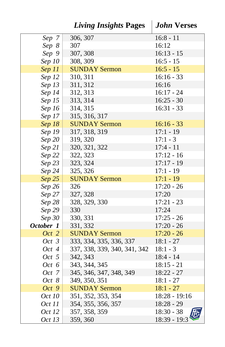|               | <b>Living Insights Pages</b> | <b>John Verses</b> |
|---------------|------------------------------|--------------------|
| Sep 7         | 306, 307                     | $16:8 - 11$        |
| Sep 8         | 307                          | 16:12              |
| Sep 9         | 307, 308                     | $16:13 - 15$       |
| $Sep\,10$     | 308, 309                     | $16:5 - 15$        |
| $Sep$ $11$    | <b>SUNDAY Sermon</b>         | $16:5 - 15$        |
| Sep 12        | 310, 311                     | $16:16 - 33$       |
| Sep 13        | 311, 312                     | 16:16              |
| $Sep\;14$     | 312, 313                     | $16:17 - 24$       |
| Sep 15        | 313, 314                     | $16:25 - 30$       |
| Sep 16        | 314, 315                     | $16:31 - 33$       |
| Sep 17        | 315, 316, 317                |                    |
| $Sep$ $18$    | <b>SUNDAY Sermon</b>         | $16:16 - 33$       |
| Sep 19        | 317, 318, 319                | $17:1 - 19$        |
| Sep 20        | 319, 320                     | $17:1 - 3$         |
| Sep 21        | 320, 321, 322                | $17:4 - 11$        |
| Sep 22        | 322, 323                     | $17:12 - 16$       |
| Sep 23        | 323, 324                     | $17:17 - 19$       |
| $Sep\,24$     | 325, 326                     | $17:1 - 19$        |
| $Sep\;25$     | <b>SUNDAY Sermon</b>         | $17:1 - 19$        |
| $Sep\,26$     | 326                          | $17:20 - 26$       |
| $Sep\,27$     | 327, 328                     | 17:20              |
| Sep 28        | 328, 329, 330                | $17:21 - 23$       |
| Sep 29        | 330                          | 17:24              |
| $Sep\,30$     | 330, 331                     | $17:25 - 26$       |
| October 1     | 331, 332                     | $17:20 - 26$       |
| $Oct$ 2       | <b>SUNDAY Sermon</b>         | $17:20 - 26$       |
| Oct 3         | 333, 334, 335, 336, 337      | $18:1 - 27$        |
| Oct 4         | 337, 338, 339, 340, 341, 342 | $18:1 - 3$         |
| Oct 5         | 342, 343                     | $18:4 - 14$        |
| Oct 6         | 343, 344, 345                | $18:15 - 21$       |
| Oct 7         | 345, 346, 347, 348, 349      | 18:22 - 27         |
| Oct 8         | 349, 350, 351                | $18:1 - 27$        |
| Oct 9         | <b>SUNDAY Sermon</b>         | $18:1 - 27$        |
| <i>Oct 10</i> | 351, 352, 353, 354           | $18:28 - 19:16$    |
| Oct 11        | 354, 355, 356, 357           | $18:28 - 29$       |
| Oct 12        | 357, 358, 359                | $18:30 - 38$       |
| <i>Oct 13</i> | 359, 360                     | 18:39 - 19:3       |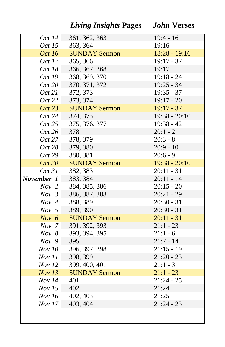|                  | <b>Living Insights Pages</b> | <b>John Verses</b> |
|------------------|------------------------------|--------------------|
| <i>Oct 14</i>    | 361, 362, 363                | $19:4 - 16$        |
| <i>Oct 15</i>    | 363, 364                     | 19:16              |
| Oct 16           | <b>SUNDAY Sermon</b>         | $18:28 - 19:16$    |
| Oct 17           | 365, 366                     | $19:17 - 37$       |
| Oct 18           | 366, 367, 368                | 19:17              |
| <i>Oct 19</i>    | 368, 369, 370                | $19:18 - 24$       |
| Oct 20           | 370, 371, 372                | $19:25 - 34$       |
| <i>Oct 21</i>    | 372, 373                     | $19:35 - 37$       |
| <i>Oct</i> 22    | 373, 374                     | $19:17 - 20$       |
| Oct 23           | <b>SUNDAY Sermon</b>         | $19:17 - 37$       |
| <i>Oct</i> 24    | 374, 375                     | $19:38 - 20:10$    |
| <i>Oct</i> 25    | 375, 376, 377                | $19:38 - 42$       |
| Oct 26           | 378                          | $20:1 - 2$         |
| Oct 27           | 378, 379                     | $20:3 - 8$         |
| Oct 28           | 379, 380                     | $20:9 - 10$        |
| Oct 29           | 380, 381                     | $20:6 - 9$         |
| Oct 30           | <b>SUNDAY Sermon</b>         | $19:38 - 20:10$    |
| <i>Oct</i> 31    | 382, 383                     | $20:11 - 31$       |
| November 1       | 383, 384                     | $20:11 - 14$       |
| Nov <sub>2</sub> | 384, 385, 386                | $20:15 - 20$       |
| Nov <sub>3</sub> | 386, 387, 388                | $20:21 - 29$       |
| Nov 4            | 388, 389                     | $20:30 - 31$       |
| Nov <sub>5</sub> | 389, 390                     | $20:30 - 31$       |
| Nov $6$          | <b>SUNDAY Sermon</b>         | $20:11 - 31$       |
| Nov <sub>7</sub> | 391, 392, 393                | $21:1 - 23$        |
| Nov 8            | 393, 394, 395                | $21:1 - 6$         |
| Nov <sub>9</sub> | 395                          | $21:7 - 14$        |
| <i>Nov 10</i>    | 396, 397, 398                | $21:15 - 19$       |
| <i>Nov</i> 11    | 398, 399                     | $21:20 - 23$       |
| <i>Nov 12</i>    | 399, 400, 401                | $21:1 - 3$         |
| Nov 13           | <b>SUNDAY Sermon</b>         | $21:1 - 23$        |
| Nov 14           | 401                          | $21:24 - 25$       |
| Nov 15           | 402                          | 21:24              |
| Nov 16           | 402, 403                     | 21:25              |
| Nov 17           | 403, 404                     | $21:24 - 25$       |
|                  |                              |                    |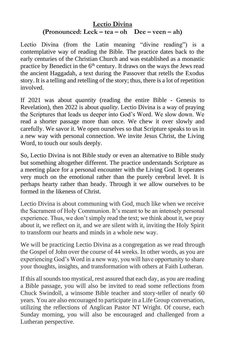#### **Lectio Divina (Pronounced: Leck – tea – oh Dee – veen – ah)**

Lectio Divina (from the Latin meaning "divine reading") is a contemplative way of reading the Bible. The practice dates back to the early centuries of the Christian Church and was established as a monastic practice by Benedict in the  $6<sup>th</sup>$  century. It draws on the ways the Jews read the ancient Haggadah, a text during the Passover that retells the Exodus story. It is a telling and retelling of the story; thus, there is a lot of repetition involved.

If 2021 was about *quantity* (reading the entire Bible - Genesis to Revelation), then 2022 is about *quality*. Lectio Divina is a way of praying the Scriptures that leads us deeper into God's Word. We slow down. We read a shorter passage more than once. We chew it over slowly and carefully. We savor it. We open ourselves so that Scripture speaks to us in a new way with personal connection. We invite Jesus Christ, the Living Word, to touch our souls deeply.

So, Lectio Divina is not Bible study or even an alternative to Bible study but something altogether different. The practice understands Scripture as a meeting place for a personal encounter with the Living God. It operates very much on the emotional rather than the purely cerebral level. It is perhaps hearty rather than heady. Through it we allow ourselves to be formed in the likeness of Christ.

Lectio Divina is about communing with God, much like when we receive the Sacrament of Holy Communion. It's meant to be an intensely personal experience. Thus, we don't simply read the text; we think about it, we pray about it, we reflect on it, and we are silent with it, inviting the Holy Spirit to transform our hearts and minds in a whole new way.

We will be practicing Lectio Divina as a congregation as we read through the Gospel of John over the course of 44 weeks. In other words, as you are experiencing God's Word in a new way, you will have opportunity to share your thoughts, insights, and transformation with others at Faith Lutheran.

If this all sounds too mystical, rest assured that each day, as you are reading a Bible passage, you will also be invited to read some reflections from Chuck Swindoll, a winsome Bible teacher and story-teller of nearly 60 years. You are also encouraged to participate in a Life Group conversation, utilizing the reflections of Anglican Pastor NT Wright. Of course, each Sunday morning, you will also be encouraged and challenged from a Lutheran perspective.